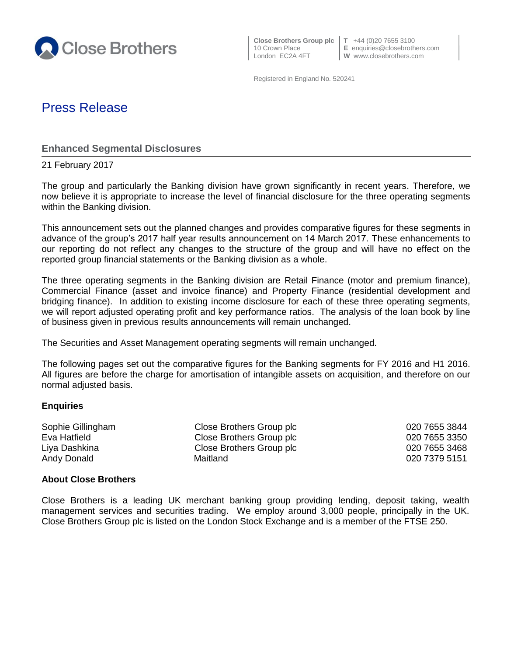

 **Close Brothers Group plc T** +44 (0)20 7655 3100 London EC2A 4FT **W** www.closebrothers.com

10 Crown Place **E** enquiries@closebrothers.com

Registered in England No. 520241

# Press Release

**Enhanced Segmental Disclosures**

21 February 2017

The group and particularly the Banking division have grown significantly in recent years. Therefore, we now believe it is appropriate to increase the level of financial disclosure for the three operating segments within the Banking division.

This announcement sets out the planned changes and provides comparative figures for these segments in advance of the group's 2017 half year results announcement on 14 March 2017. These enhancements to our reporting do not reflect any changes to the structure of the group and will have no effect on the reported group financial statements or the Banking division as a whole.

The three operating segments in the Banking division are Retail Finance (motor and premium finance), Commercial Finance (asset and invoice finance) and Property Finance (residential development and bridging finance). In addition to existing income disclosure for each of these three operating segments, we will report adjusted operating profit and key performance ratios. The analysis of the loan book by line of business given in previous results announcements will remain unchanged.

The Securities and Asset Management operating segments will remain unchanged.

The following pages set out the comparative figures for the Banking segments for FY 2016 and H1 2016. All figures are before the charge for amortisation of intangible assets on acquisition, and therefore on our normal adjusted basis.

#### **Enquiries**

| Sophie Gillingham | Close Brothers Group plc | 020 7655 3844 |
|-------------------|--------------------------|---------------|
| Eva Hatfield      | Close Brothers Group plc | 020 7655 3350 |
| Liya Dashkina     | Close Brothers Group plc | 020 7655 3468 |
| Andy Donald       | Maitland                 | 020 7379 5151 |

#### **About Close Brothers**

Close Brothers is a leading UK merchant banking group providing lending, deposit taking, wealth management services and securities trading. We employ around 3,000 people, principally in the UK. Close Brothers Group plc is listed on the London Stock Exchange and is a member of the FTSE 250.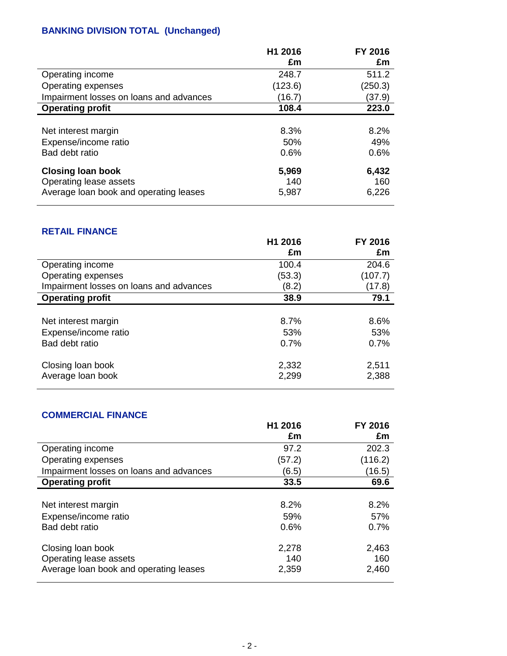## **BANKING DIVISION TOTAL (Unchanged)**

|                                                    | H1 2016      | FY 2016      |
|----------------------------------------------------|--------------|--------------|
|                                                    | £m           | £m           |
| Operating income                                   | 248.7        | 511.2        |
| Operating expenses                                 | (123.6)      | (250.3)      |
| Impairment losses on loans and advances            | (16.7)       | (37.9)       |
| <b>Operating profit</b>                            | 108.4        | 223.0        |
|                                                    |              |              |
| Net interest margin                                | 8.3%         | 8.2%         |
| Expense/income ratio                               | 50%          | 49%          |
| Bad debt ratio                                     | 0.6%         | 0.6%         |
| <b>Closing loan book</b><br>Operating lease assets | 5,969<br>140 | 6,432<br>160 |
| Average loan book and operating leases             | 5,987        | 6,226        |

#### **RETAIL FINANCE**

|                                         | H1 2016<br>£m  | FY 2016<br>£m  |
|-----------------------------------------|----------------|----------------|
| Operating income                        | 100.4          | 204.6          |
| Operating expenses                      | (53.3)         | (107.7)        |
| Impairment losses on loans and advances | (8.2)          | (17.8)         |
| <b>Operating profit</b>                 | 38.9           | 79.1           |
|                                         |                |                |
| Net interest margin                     | 8.7%           | 8.6%           |
| Expense/income ratio                    | 53%            | 53%            |
| Bad debt ratio                          | 0.7%           | 0.7%           |
| Closing loan book<br>Average loan book  | 2,332<br>2,299 | 2,511<br>2,388 |

### **COMMERCIAL FINANCE**

|                                         | H1 2016 | FY 2016 |
|-----------------------------------------|---------|---------|
|                                         | £m      | £m      |
| Operating income                        | 97.2    | 202.3   |
| Operating expenses                      | (57.2)  | (116.2) |
| Impairment losses on loans and advances | (6.5)   | (16.5)  |
| <b>Operating profit</b>                 | 33.5    | 69.6    |
|                                         |         |         |
| Net interest margin                     | 8.2%    | 8.2%    |
| Expense/income ratio                    | 59%     | 57%     |
| Bad debt ratio                          | 0.6%    | 0.7%    |
|                                         |         |         |
| Closing loan book                       | 2,278   | 2,463   |
| Operating lease assets                  | 140     | 160     |
| Average loan book and operating leases  | 2,359   | 2,460   |
|                                         |         |         |